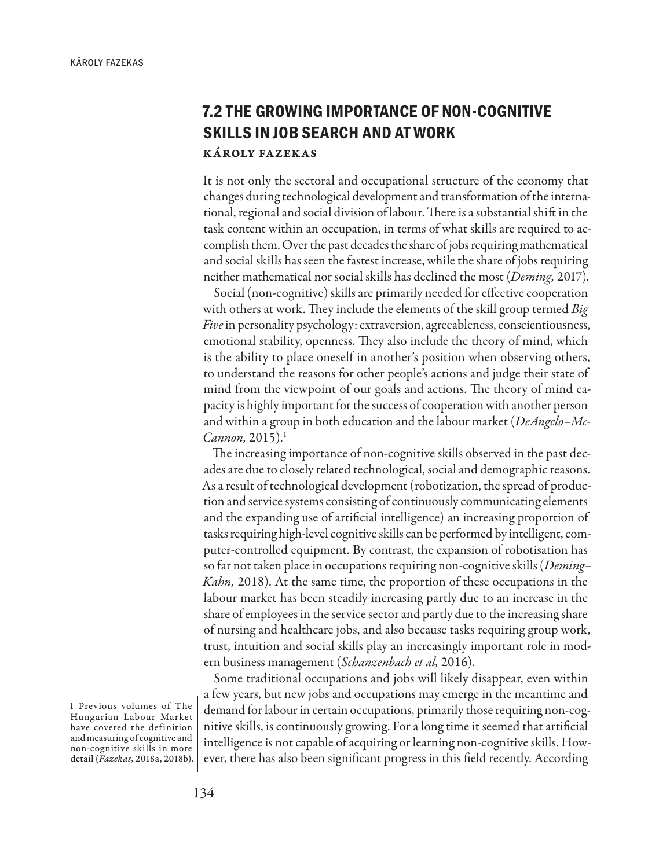## **7.2 THE GROWING IMPORTANCE OF NON-COGNITIVE SKILLS IN JOB SEARCH AND AT WORK** Károly Fazekas

It is not only the sectoral and occupational structure of the economy that changes during technological development and transformation of the international, regional and social division of labour. There is a substantial shift in the task content within an occupation, in terms of what skills are required to accomplish them. Over the past decades the share of jobs requiring mathematical and social skills has seen the fastest increase, while the share of jobs requiring neither mathematical nor social skills has declined the most (*Deming,* 2017).

Social (non-cognitive) skills are primarily needed for effective cooperation with others at work. They include the elements of the skill group termed *Big Five* in personality psychology: extraversion, agreeableness, conscientiousness, emotional stability, openness. They also include the theory of mind, which is the ability to place oneself in another's position when observing others, to understand the reasons for other people's actions and judge their state of mind from the viewpoint of our goals and actions. The theory of mind capacity is highly important for the success of cooperation with another person and within a group in both education and the labour market (*DeAngelo–Mc-Cannon,* 2015).1

The increasing importance of non-cognitive skills observed in the past decades are due to closely related technological, social and demographic reasons. As a result of technological development (robotization, the spread of production and service systems consisting of continuously communicating elements and the expanding use of artificial intelligence) an increasing proportion of tasks requiring high-level cognitive skills can be performed by intelligent, computer-controlled equipment. By contrast, the expansion of robotisation has so far not taken place in occupations requiring non-cognitive skills (*Deming– Kahn,* 2018). At the same time, the proportion of these occupations in the labour market has been steadily increasing partly due to an increase in the share of employees in the service sector and partly due to the increasing share of nursing and healthcare jobs, and also because tasks requiring group work, trust, intuition and social skills play an increasingly important role in modern business management (*Schanzenbach et al,* 2016).

Some traditional occupations and jobs will likely disappear, even within a few years, but new jobs and occupations may emerge in the meantime and demand for labour in certain occupations, primarily those requiring non-cognitive skills, is continuously growing. For a long time it seemed that artificial intelligence is not capable of acquiring or learning non-cognitive skills. However, there has also been significant progress in this field recently. According

1 Previous volumes of The Hungarian Labour Market have covered the definition and measuring of cognitive and non-cognitive skills in more detail (*Fazekas,* 2018a, 2018b).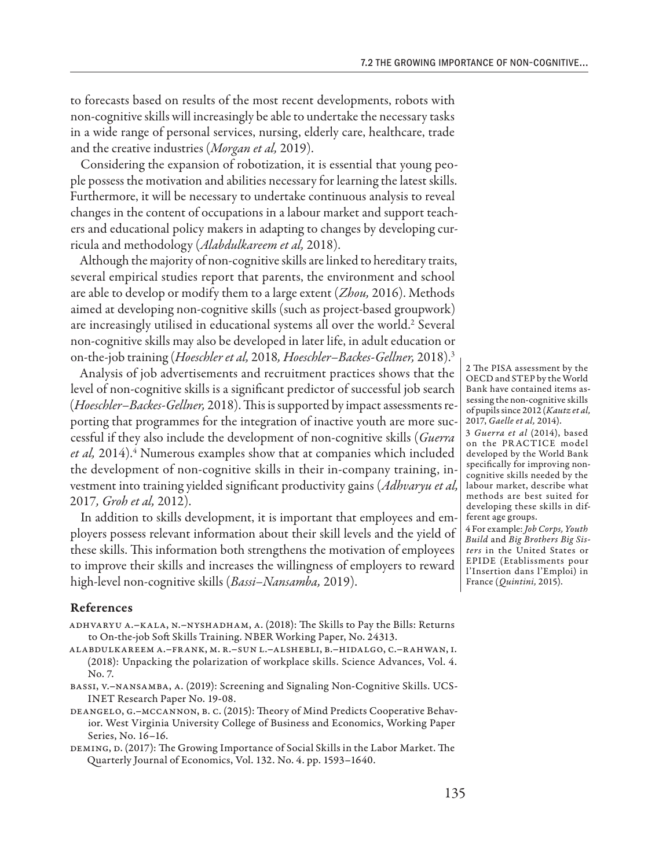to forecasts based on results of the most recent developments, robots with non-cognitive skills will increasingly be able to undertake the necessary tasks in a wide range of personal services, nursing, elderly care, healthcare, trade and the creative industries (*Morgan et al,* 2019).

Considering the expansion of robotization, it is essential that young people possess the motivation and abilities necessary for learning the latest skills. Furthermore, it will be necessary to undertake continuous analysis to reveal changes in the content of occupations in a labour market and support teachers and educational policy makers in adapting to changes by developing curricula and methodology (*Alabdulkareem et al,* 2018).

Although the majority of non-cognitive skills are linked to hereditary traits, several empirical studies report that parents, the environment and school are able to develop or modify them to a large extent (*Zhou,* 2016). Methods aimed at developing non-cognitive skills (such as project-based groupwork) are increasingly utilised in educational systems all over the world.<sup>2</sup> Several non-cognitive skills may also be developed in later life, in adult education or on-the-job training (*Hoeschler et al,* 2018*, Hoeschler–Backes-Gellner,* 2018).3

Analysis of job advertisements and recruitment practices shows that the level of non-cognitive skills is a significant predictor of successful job search (*Hoeschler–Backes-Gellner,* 2018). This is supported by impact assessments reporting that programmes for the integration of inactive youth are more successful if they also include the development of non-cognitive skills (*Guerra*  et al, 2014).<sup>4</sup> Numerous examples show that at companies which included the development of non-cognitive skills in their in-company training, investment into training yielded significant productivity gains (*Adhvaryu et al,*  2017*, Groh et al,* 2012).

In addition to skills development, it is important that employees and employers possess relevant information about their skill levels and the yield of these skills. This information both strengthens the motivation of employees to improve their skills and increases the willingness of employers to reward high-level non-cognitive skills (*Bassi–Nansamba,* 2019).

## References

- Adhvaryu A.–Kala, N.–Nyshadham, A. (2018): The Skills to Pay the Bills: Returns to On-the-job Soft Skills Training. NBER Working Paper, No. 24313.
- Alabdulkareem A.–Frank, M. R.–Sun L.–AlShebli, B.–Hidalgo, C.–Rahwan, I. (2018): Unpacking the polarization of workplace skills. Science Advances, Vol. 4. No. 7.
- BASSI, V.-NANSAMBA, A. (2019): Screening and Signaling Non-Cognitive Skills. UCS-INET Research Paper No. 19-08.
- DeAngelo, G.–McCannon, B. C. (2015): Theory of Mind Predicts Cooperative Behavior. West Virginia University College of Business and Economics, Working Paper Series, No. 16–16.
- Deming, D. (2017): The Growing Importance of Social Skills in the Labor Market. The Quarterly Journal of Economics, Vol. 132. No. 4. pp. 1593–1640.

2 The PISA assessment by the OECD and STEP by the World Bank have contained items assessing the non-cognitive skills of pupils since 2012 (*Kautz et al,*  2017, *Gaelle et al,* 2014).

3 *Guerra et al* (2014), based on the PR ACTICE model developed by the World Bank specifically for improving noncognitive skills needed by the labour market, describe what methods are best suited for developing these skills in different age groups.

4 For example: *Job Corps, Youth Build* and *Big Brothers Big Sisters* in the United States or EPIDE (Etablissments pour l'Insertion dans l'Emploi) in France (*Quintini,* 2015).